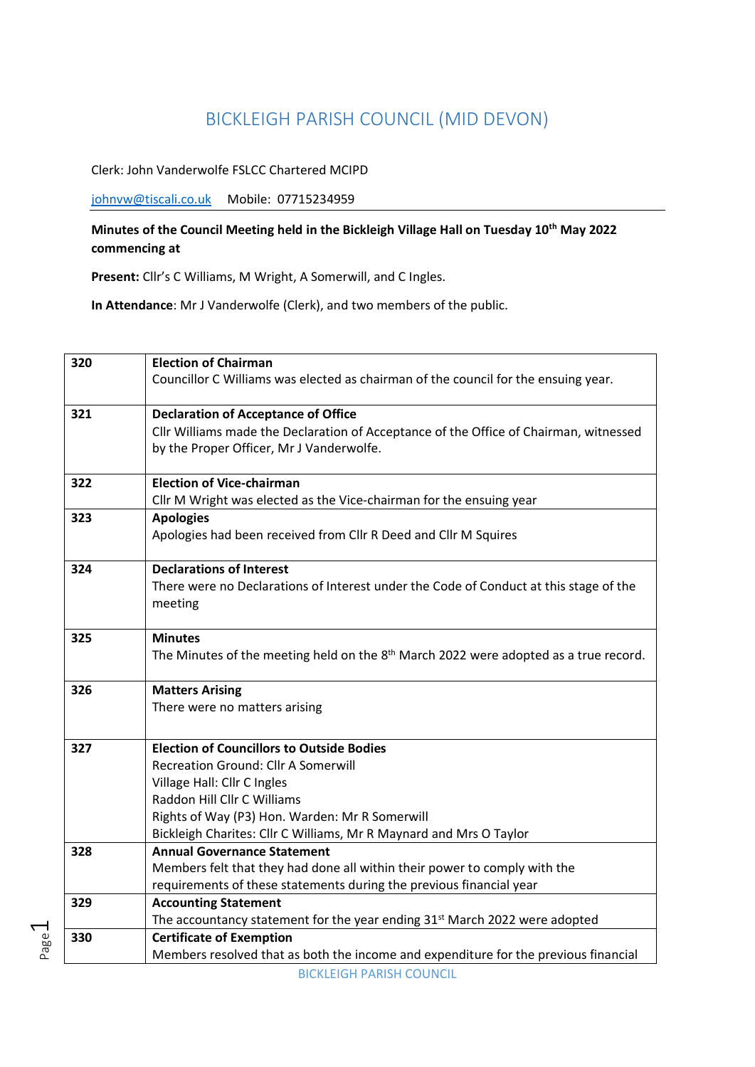## BICKLEIGH PARISH COUNCIL (MID DEVON)

Clerk: John Vanderwolfe FSLCC Chartered MCIPD

[johnvw@tiscali.co.uk](mailto:johnvw@tiscali.co.uk) Mobile: 07715234959

Page  $\overline{\phantom{0}}$ 

## **Minutes of the Council Meeting held in the Bickleigh Village Hall on Tuesday 10th May 2022 commencing at**

**Present:** Cllr's C Williams, M Wright, A Somerwill, and C Ingles.

**In Attendance**: Mr J Vanderwolfe (Clerk), and two members of the public.

| 320 | <b>Election of Chairman</b><br>Councillor C Williams was elected as chairman of the council for the ensuing year.                                                                                                                                                             |
|-----|-------------------------------------------------------------------------------------------------------------------------------------------------------------------------------------------------------------------------------------------------------------------------------|
|     |                                                                                                                                                                                                                                                                               |
| 321 | <b>Declaration of Acceptance of Office</b><br>Cllr Williams made the Declaration of Acceptance of the Office of Chairman, witnessed<br>by the Proper Officer, Mr J Vanderwolfe.                                                                                               |
| 322 | <b>Election of Vice-chairman</b><br>Cllr M Wright was elected as the Vice-chairman for the ensuing year                                                                                                                                                                       |
| 323 | <b>Apologies</b><br>Apologies had been received from Cllr R Deed and Cllr M Squires                                                                                                                                                                                           |
| 324 | <b>Declarations of Interest</b><br>There were no Declarations of Interest under the Code of Conduct at this stage of the<br>meeting                                                                                                                                           |
| 325 | <b>Minutes</b><br>The Minutes of the meeting held on the 8 <sup>th</sup> March 2022 were adopted as a true record.                                                                                                                                                            |
| 326 | <b>Matters Arising</b><br>There were no matters arising                                                                                                                                                                                                                       |
| 327 | <b>Election of Councillors to Outside Bodies</b><br>Recreation Ground: Cllr A Somerwill<br>Village Hall: Cllr C Ingles<br>Raddon Hill Cllr C Williams<br>Rights of Way (P3) Hon. Warden: Mr R Somerwill<br>Bickleigh Charites: Cllr C Williams, Mr R Maynard and Mrs O Taylor |
| 328 | <b>Annual Governance Statement</b><br>Members felt that they had done all within their power to comply with the<br>requirements of these statements during the previous financial year                                                                                        |
| 329 | <b>Accounting Statement</b><br>The accountancy statement for the year ending 31 <sup>st</sup> March 2022 were adopted                                                                                                                                                         |
| 330 | <b>Certificate of Exemption</b><br>Members resolved that as both the income and expenditure for the previous financial                                                                                                                                                        |
|     | <b>BICKLEIGH PARISH COUNCIL</b>                                                                                                                                                                                                                                               |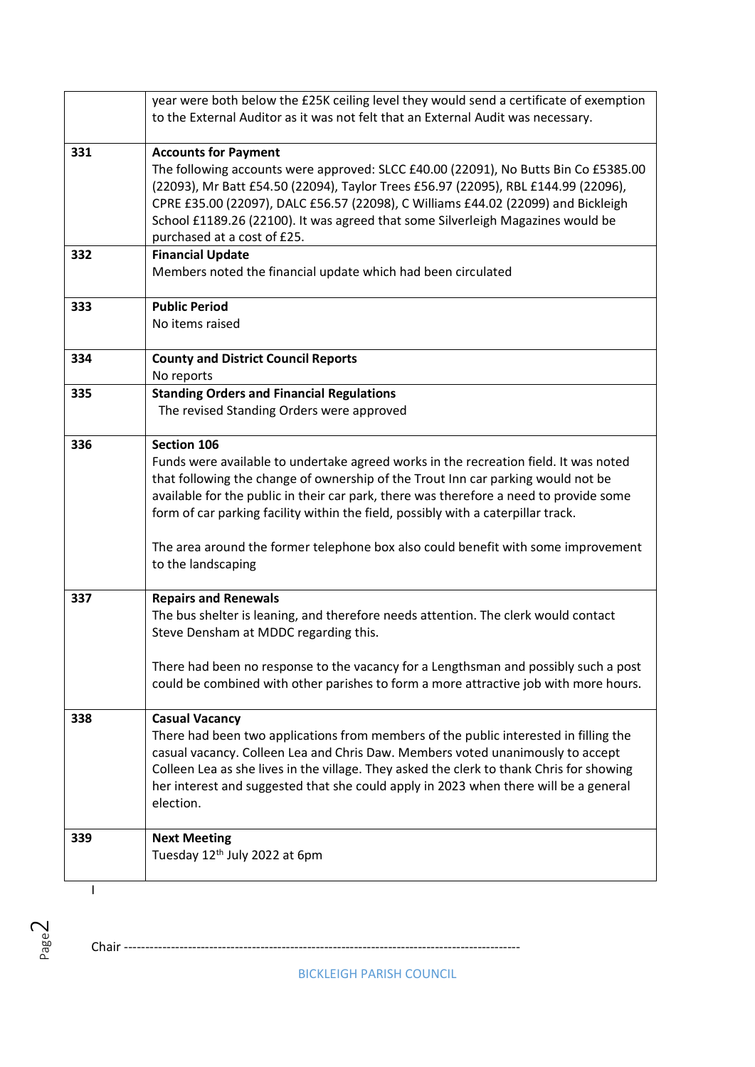|     | year were both below the £25K ceiling level they would send a certificate of exemption   |
|-----|------------------------------------------------------------------------------------------|
|     | to the External Auditor as it was not felt that an External Audit was necessary.         |
|     |                                                                                          |
| 331 | <b>Accounts for Payment</b>                                                              |
|     | The following accounts were approved: SLCC £40.00 (22091), No Butts Bin Co £5385.00      |
|     | (22093), Mr Batt £54.50 (22094), Taylor Trees £56.97 (22095), RBL £144.99 (22096),       |
|     | CPRE £35.00 (22097), DALC £56.57 (22098), C Williams £44.02 (22099) and Bickleigh        |
|     | School £1189.26 (22100). It was agreed that some Silverleigh Magazines would be          |
|     | purchased at a cost of £25.                                                              |
| 332 | <b>Financial Update</b>                                                                  |
|     | Members noted the financial update which had been circulated                             |
|     |                                                                                          |
| 333 | <b>Public Period</b>                                                                     |
|     | No items raised                                                                          |
|     |                                                                                          |
| 334 | <b>County and District Council Reports</b>                                               |
|     | No reports                                                                               |
| 335 | <b>Standing Orders and Financial Regulations</b>                                         |
|     | The revised Standing Orders were approved                                                |
|     |                                                                                          |
| 336 | Section 106                                                                              |
|     | Funds were available to undertake agreed works in the recreation field. It was noted     |
|     | that following the change of ownership of the Trout Inn car parking would not be         |
|     | available for the public in their car park, there was therefore a need to provide some   |
|     | form of car parking facility within the field, possibly with a caterpillar track.        |
|     |                                                                                          |
|     | The area around the former telephone box also could benefit with some improvement        |
|     | to the landscaping                                                                       |
|     |                                                                                          |
| 337 | <b>Repairs and Renewals</b>                                                              |
|     | The bus shelter is leaning, and therefore needs attention. The clerk would contact       |
|     | Steve Densham at MDDC regarding this.                                                    |
|     |                                                                                          |
|     | There had been no response to the vacancy for a Lengthsman and possibly such a post      |
|     | could be combined with other parishes to form a more attractive job with more hours.     |
|     |                                                                                          |
| 338 | <b>Casual Vacancy</b>                                                                    |
|     | There had been two applications from members of the public interested in filling the     |
|     | casual vacancy. Colleen Lea and Chris Daw. Members voted unanimously to accept           |
|     | Colleen Lea as she lives in the village. They asked the clerk to thank Chris for showing |
|     | her interest and suggested that she could apply in 2023 when there will be a general     |
|     | election.                                                                                |
|     |                                                                                          |
| 339 | <b>Next Meeting</b>                                                                      |
|     | Tuesday 12th July 2022 at 6pm                                                            |
|     |                                                                                          |
| I   |                                                                                          |

BICKLEIGH PARISH COUNCIL

Chair ---------------------------------------------------------------------------------------------